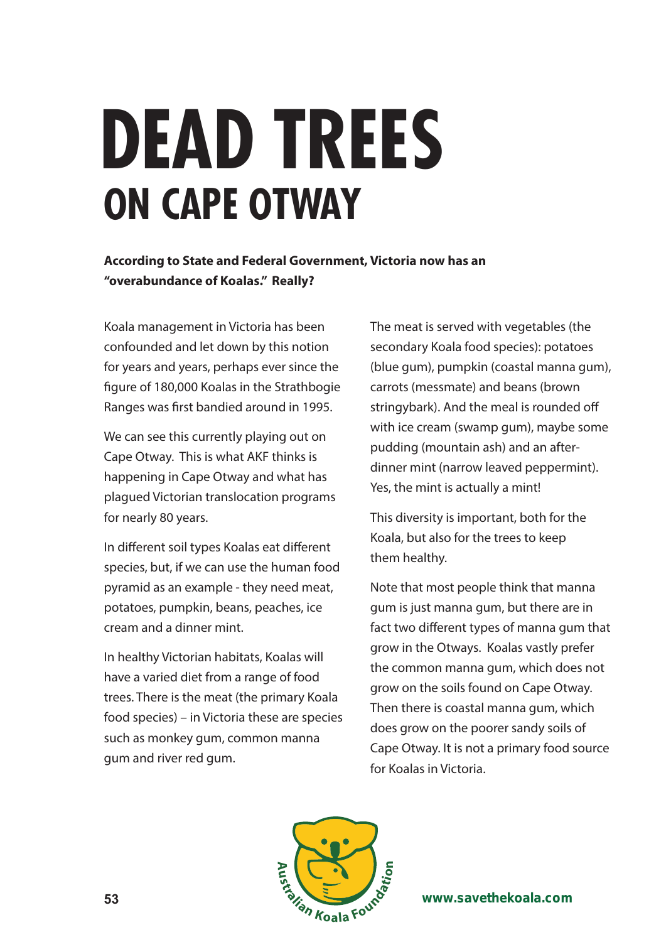# **ON CAPE OTWAY DEAD TREES**

**According to State and Federal Government, Victoria now has an "overabundance of Koalas." Really?** 

Koala management in Victoria has been confounded and let down by this notion for years and years, perhaps ever since the figure of 180,000 Koalas in the Strathbogie Ranges was first bandied around in 1995.

We can see this currently playing out on Cape Otway. This is what AKF thinks is happening in Cape Otway and what has plagued Victorian translocation programs for nearly 80 years.

In different soil types Koalas eat different species, but, if we can use the human food pyramid as an example - they need meat, potatoes, pumpkin, beans, peaches, ice cream and a dinner mint.

In healthy Victorian habitats, Koalas will have a varied diet from a range of food trees. There is the meat (the primary Koala food species) – in Victoria these are species such as monkey gum, common manna gum and river red gum.

The meat is served with vegetables (the secondary Koala food species): potatoes (blue gum), pumpkin (coastal manna gum), carrots (messmate) and beans (brown stringybark). And the meal is rounded off with ice cream (swamp gum), maybe some pudding (mountain ash) and an afterdinner mint (narrow leaved peppermint). Yes, the mint is actually a mint!

This diversity is important, both for the Koala, but also for the trees to keep them healthy.

Note that most people think that manna gum is just manna gum, but there are in fact two different types of manna gum that grow in the Otways. Koalas vastly prefer the common manna gum, which does not grow on the soils found on Cape Otway. Then there is coastal manna gum, which does grow on the poorer sandy soils of Cape Otway. It is not a primary food source for Koalas in Victoria.



**www.savethekoala.com**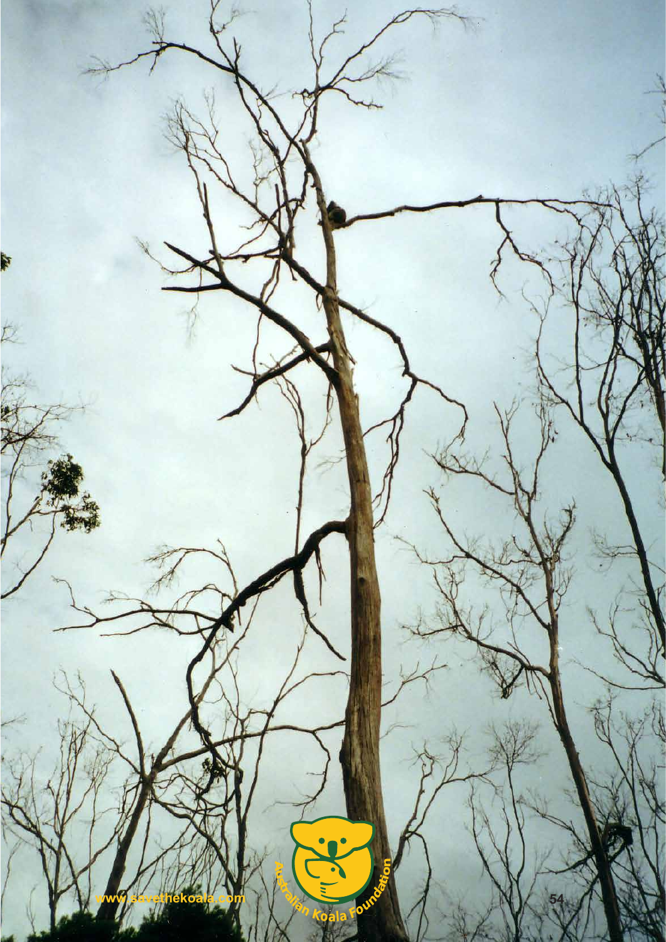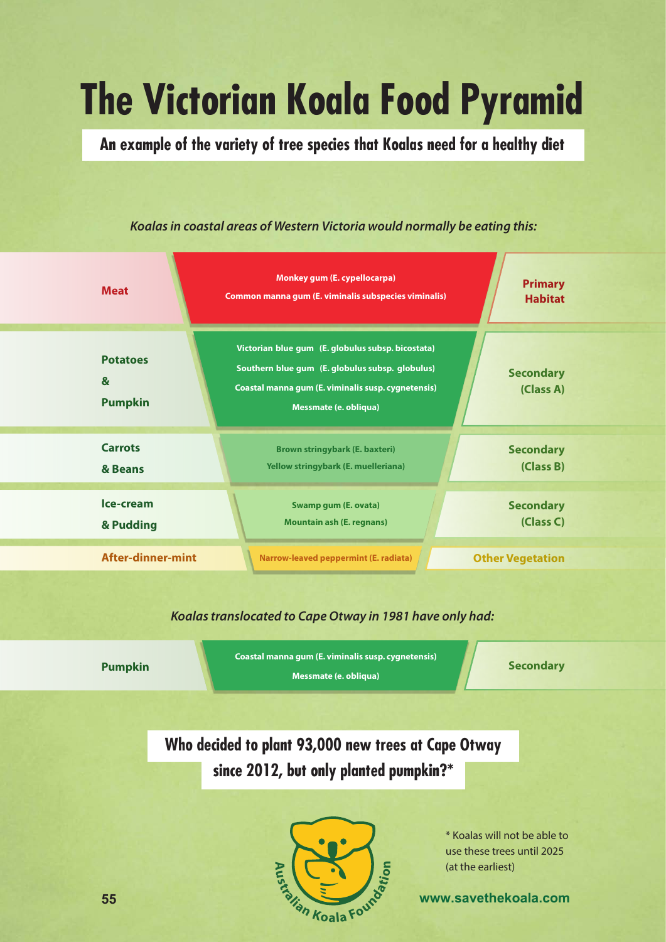## **The Victorian Koala Food Pyramid**

**An example of the variety of tree species that Koalas need for a healthy diet**

#### *Koalas in coastal areas of Western Victoria would normally be eating this:*

| <b>Meat</b>                                           | Monkey gum (E. cypellocarpa)<br>Common manna gum (E. viminalis subspecies viminalis)                                                                                                | <b>Primary</b><br><b>Habitat</b> |
|-------------------------------------------------------|-------------------------------------------------------------------------------------------------------------------------------------------------------------------------------------|----------------------------------|
| <b>Potatoes</b><br>$\boldsymbol{8}$<br><b>Pumpkin</b> | Victorian blue gum (E. globulus subsp. bicostata)<br>Southern blue gum (E. globulus subsp. globulus)<br>Coastal manna gum (E. viminalis susp. cygnetensis)<br>Messmate (e. obliqua) | <b>Secondary</b><br>(Class A)    |
| <b>Carrots</b><br>& Beans                             | <b>Brown stringybark (E. baxteri)</b><br>Yellow stringybark (E. muelleriana)                                                                                                        | <b>Secondary</b><br>(Class B)    |
| Ice-cream<br>& Pudding                                | <b>Swamp gum (E. ovata)</b><br><b>Mountain ash (E. regnans)</b>                                                                                                                     | <b>Secondary</b><br>(Class C)    |
| <b>After-dinner-mint</b>                              | Narrow-leaved peppermint (E. radiata)                                                                                                                                               | <b>Other Vegetation</b>          |

#### *Koalas translocated to Cape Otway in 1981 have only had:*

**Pumpkin Secondary Coastal manna gum (E. viminalis susp. cygnetensis) Secondary Messmate (e. obliqua) Messmate (e. obliqua) Pumpkin Coastal manna gum (E. viminalis susp. cygnetensis) Secondary** 

### **Who decided to plant 93,000 new trees at Cape Otway since 2012, but only planted pumpkin?\***



\* Koalas will not be able to use these trees until 2025 (at the earliest)

**55 www.savethekoala.com**